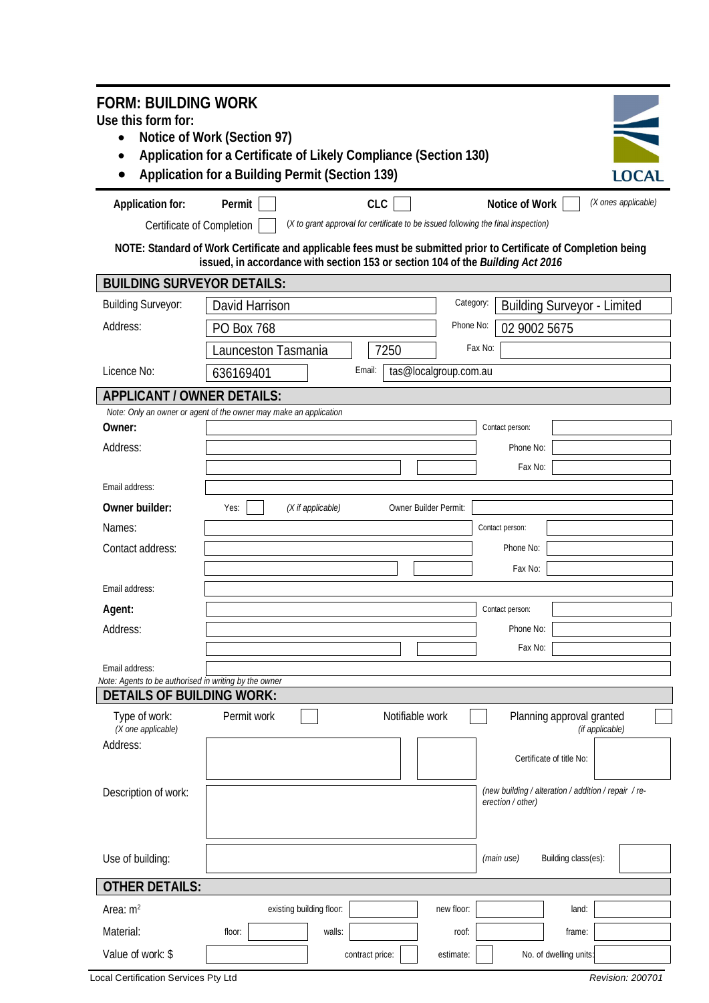| <b>FORM: BUILDING WORK</b>                                                                                                                                                                          |                                                                   |                                                                                                 |                       |                                                      |                     |  |  |  |  |  |
|-----------------------------------------------------------------------------------------------------------------------------------------------------------------------------------------------------|-------------------------------------------------------------------|-------------------------------------------------------------------------------------------------|-----------------------|------------------------------------------------------|---------------------|--|--|--|--|--|
| Use this form for:                                                                                                                                                                                  |                                                                   |                                                                                                 |                       |                                                      |                     |  |  |  |  |  |
| Notice of Work (Section 97)<br>Application for a Certificate of Likely Compliance (Section 130)                                                                                                     |                                                                   |                                                                                                 |                       |                                                      |                     |  |  |  |  |  |
|                                                                                                                                                                                                     | Application for a Building Permit (Section 139)                   |                                                                                                 |                       |                                                      | <b>LOCAL</b>        |  |  |  |  |  |
|                                                                                                                                                                                                     |                                                                   |                                                                                                 |                       |                                                      |                     |  |  |  |  |  |
| Application for:                                                                                                                                                                                    | Permit                                                            | <b>CLC</b><br>(X to grant approval for certificate to be issued following the final inspection) |                       | Notice of Work                                       | (X ones applicable) |  |  |  |  |  |
| Certificate of Completion                                                                                                                                                                           |                                                                   |                                                                                                 |                       |                                                      |                     |  |  |  |  |  |
| NOTE: Standard of Work Certificate and applicable fees must be submitted prior to Certificate of Completion being<br>issued, in accordance with section 153 or section 104 of the Building Act 2016 |                                                                   |                                                                                                 |                       |                                                      |                     |  |  |  |  |  |
| <b>BUILDING SURVEYOR DETAILS:</b>                                                                                                                                                                   |                                                                   |                                                                                                 |                       |                                                      |                     |  |  |  |  |  |
| <b>Building Surveyor:</b>                                                                                                                                                                           | David Harrison                                                    |                                                                                                 | Category:             | <b>Building Surveyor - Limited</b>                   |                     |  |  |  |  |  |
| Address:                                                                                                                                                                                            | PO Box 768                                                        |                                                                                                 | Phone No:             | 02 9002 5675                                         |                     |  |  |  |  |  |
|                                                                                                                                                                                                     | Launceston Tasmania                                               | 7250                                                                                            | Fax No:               |                                                      |                     |  |  |  |  |  |
| Licence No:                                                                                                                                                                                         | 636169401                                                         | Email:                                                                                          | tas@localgroup.com.au |                                                      |                     |  |  |  |  |  |
| <b>APPLICANT / OWNER DETAILS:</b>                                                                                                                                                                   |                                                                   |                                                                                                 |                       |                                                      |                     |  |  |  |  |  |
| Owner:                                                                                                                                                                                              | Note: Only an owner or agent of the owner may make an application |                                                                                                 |                       | Contact person:                                      |                     |  |  |  |  |  |
| Address:                                                                                                                                                                                            |                                                                   |                                                                                                 |                       | Phone No:                                            |                     |  |  |  |  |  |
|                                                                                                                                                                                                     |                                                                   |                                                                                                 |                       | Fax No:                                              |                     |  |  |  |  |  |
| Email address:                                                                                                                                                                                      |                                                                   |                                                                                                 |                       |                                                      |                     |  |  |  |  |  |
| Owner builder:                                                                                                                                                                                      | Yes:<br>(X if applicable)                                         |                                                                                                 | Owner Builder Permit: |                                                      |                     |  |  |  |  |  |
| Names:                                                                                                                                                                                              |                                                                   |                                                                                                 |                       | Contact person:                                      |                     |  |  |  |  |  |
| Contact address:                                                                                                                                                                                    |                                                                   |                                                                                                 |                       | Phone No:                                            |                     |  |  |  |  |  |
|                                                                                                                                                                                                     |                                                                   |                                                                                                 |                       | Fax No:                                              |                     |  |  |  |  |  |
| Email address:                                                                                                                                                                                      |                                                                   |                                                                                                 |                       |                                                      |                     |  |  |  |  |  |
| Agent:                                                                                                                                                                                              |                                                                   |                                                                                                 |                       | Contact person:                                      |                     |  |  |  |  |  |
| Address:                                                                                                                                                                                            |                                                                   |                                                                                                 |                       | Phone No:                                            |                     |  |  |  |  |  |
|                                                                                                                                                                                                     |                                                                   |                                                                                                 |                       | Fax No:                                              |                     |  |  |  |  |  |
| Email address:<br>Note: Agents to be authorised in writing by the owner                                                                                                                             |                                                                   |                                                                                                 |                       |                                                      |                     |  |  |  |  |  |
| <b>DETAILS OF BUILDING WORK:</b>                                                                                                                                                                    |                                                                   |                                                                                                 |                       |                                                      |                     |  |  |  |  |  |
| Type of work:<br>(X one applicable)                                                                                                                                                                 | Permit work                                                       | Notifiable work                                                                                 |                       | Planning approval granted                            | (if applicable)     |  |  |  |  |  |
| Address:                                                                                                                                                                                            |                                                                   |                                                                                                 |                       |                                                      |                     |  |  |  |  |  |
|                                                                                                                                                                                                     |                                                                   |                                                                                                 |                       | Certificate of title No:                             |                     |  |  |  |  |  |
| Description of work:                                                                                                                                                                                |                                                                   |                                                                                                 |                       | (new building / alteration / addition / repair / re- |                     |  |  |  |  |  |
|                                                                                                                                                                                                     |                                                                   |                                                                                                 |                       | erection / other)                                    |                     |  |  |  |  |  |
|                                                                                                                                                                                                     |                                                                   |                                                                                                 |                       |                                                      |                     |  |  |  |  |  |
| Use of building:                                                                                                                                                                                    |                                                                   |                                                                                                 |                       | Building class(es):<br>(main use)                    |                     |  |  |  |  |  |
| <b>OTHER DETAILS:</b>                                                                                                                                                                               |                                                                   |                                                                                                 |                       |                                                      |                     |  |  |  |  |  |
| Area: $m2$                                                                                                                                                                                          | existing building floor:                                          |                                                                                                 | new floor:            | land:                                                |                     |  |  |  |  |  |
| Material:                                                                                                                                                                                           | floor:                                                            | walls:                                                                                          | roof:                 | frame:                                               |                     |  |  |  |  |  |
| Value of work: \$                                                                                                                                                                                   |                                                                   | contract price:                                                                                 | estimate:             | No. of dwelling units:                               |                     |  |  |  |  |  |